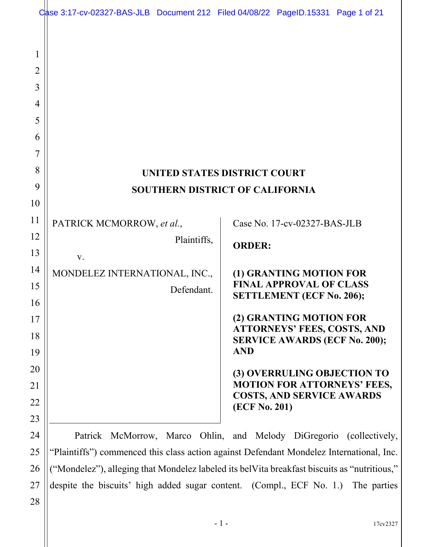|                                                   | Case 3:17-cv-02327-BAS-JLB Document 212 Filed 04/08/22 PageID.15331 Page 1 of 21 |             |                                     |                                                                            |                                             |
|---------------------------------------------------|----------------------------------------------------------------------------------|-------------|-------------------------------------|----------------------------------------------------------------------------|---------------------------------------------|
| 1<br>$\overline{2}$<br>3<br>4<br>5<br>6<br>7<br>8 |                                                                                  |             | <b>UNITED STATES DISTRICT COURT</b> |                                                                            |                                             |
| 9                                                 | <b>SOUTHERN DISTRICT OF CALIFORNIA</b>                                           |             |                                     |                                                                            |                                             |
| 10                                                |                                                                                  |             |                                     |                                                                            |                                             |
| 11                                                | PATRICK MCMORROW, et al.,                                                        |             |                                     | Case No. 17-cv-02327-BAS-JLB                                               |                                             |
| 12<br>13                                          | V.                                                                               | Plaintiffs, | <b>ORDER:</b>                       |                                                                            |                                             |
| 14                                                | MONDELEZ INTERNATIONAL, INC.,                                                    |             |                                     | (1) GRANTING MOTION FOR                                                    |                                             |
| 15                                                |                                                                                  | Defendant.  |                                     | <b>FINAL APPROVAL OF CLASS</b>                                             |                                             |
| 16                                                |                                                                                  |             |                                     | <b>SETTLEMENT (ECF No. 206);</b>                                           |                                             |
| 17                                                |                                                                                  |             |                                     | (2) GRANTING MOTION FOR                                                    |                                             |
| 18                                                |                                                                                  |             |                                     | <b>ATTORNEYS' FEES, COSTS, AND</b><br><b>SERVICE AWARDS (ECF No. 200);</b> |                                             |
| 19                                                |                                                                                  |             | <b>AND</b>                          |                                                                            |                                             |
| 20                                                |                                                                                  |             |                                     | (3) OVERRULING OBJECTION TO                                                |                                             |
| 21                                                |                                                                                  |             |                                     | <b>COSTS, AND SERVICE AWARDS</b>                                           | <b>MOTION FOR ATTORNEYS' FEES,</b>          |
| 22                                                |                                                                                  |             | (ECF No. 201)                       |                                                                            |                                             |
| 23                                                |                                                                                  |             |                                     |                                                                            |                                             |
| 24                                                | McMorrow, Marco<br>Patrick                                                       |             |                                     |                                                                            | Ohlin, and Melody DiGregorio (collectively, |

"Plaintiffs") commenced this class action against Defendant Mondelez International, Inc. ("Mondelez"), alleging that Mondelez labeled its belVita breakfast biscuits as "nutritious," despite the biscuits' high added sugar content. (Compl., ECF No. 1.) The parties

28

25

26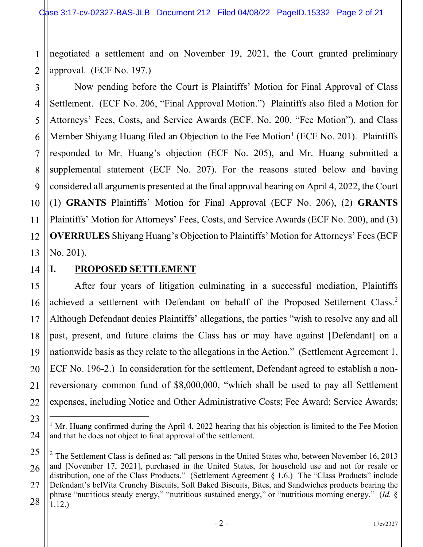1 2 negotiated a settlement and on November 19, 2021, the Court granted preliminary approval. (ECF No. 197.)

3 4 5 6 7 8 9 10 11 12 13 Now pending before the Court is Plaintiffs' Motion for Final Approval of Class Settlement. (ECF No. 206, "Final Approval Motion.") Plaintiffs also filed a Motion for Attorneys' Fees, Costs, and Service Awards (ECF. No. 200, "Fee Motion"), and Class Member Shiyang Huang filed an Objection to the Fee Motion<sup>[1](#page-1-0)</sup> (ECF No. 201). Plaintiffs responded to Mr. Huang's objection (ECF No. 205), and Mr. Huang submitted a supplemental statement (ECF No. 207). For the reasons stated below and having considered all arguments presented at the final approval hearing on April 4, 2022, the Court (1) **GRANTS** Plaintiffs' Motion for Final Approval (ECF No. 206), (2) **GRANTS** Plaintiffs' Motion for Attorneys' Fees, Costs, and Service Awards (ECF No. 200), and (3) **OVERRULES** Shiyang Huang's Objection to Plaintiffs' Motion for Attorneys' Fees (ECF No. 201).

20

21

22

<span id="page-1-0"></span>23

24

# **I. PROPOSED SETTLEMENT**

After four years of litigation culminating in a successful mediation, Plaintiffs achieved a settlement with Defendant on behalf of the Proposed Settlement Class.<sup>[2](#page-1-1)</sup> Although Defendant denies Plaintiffs' allegations, the parties "wish to resolve any and all past, present, and future claims the Class has or may have against [Defendant] on a nationwide basis as they relate to the allegations in the Action." (Settlement Agreement 1, ECF No. 196-2.) In consideration for the settlement, Defendant agreed to establish a nonreversionary common fund of \$8,000,000, "which shall be used to pay all Settlement expenses, including Notice and Other Administrative Costs; Fee Award; Service Awards;

<sup>&</sup>lt;sup>1</sup> Mr. Huang confirmed during the April 4, 2022 hearing that his objection is limited to the Fee Motion and that he does not object to final approval of the settlement.

<span id="page-1-1"></span><sup>25</sup> 26 27 28  $2$  The Settlement Class is defined as: "all persons in the United States who, between November 16, 2013 and [November 17, 2021], purchased in the United States, for household use and not for resale or distribution, one of the Class Products." (Settlement Agreement § 1.6.) The "Class Products" include Defendant's belVita Crunchy Biscuits, Soft Baked Biscuits, Bites, and Sandwiches products bearing the phrase "nutritious steady energy," "nutritious sustained energy," or "nutritious morning energy." (*Id.* § 1.12.)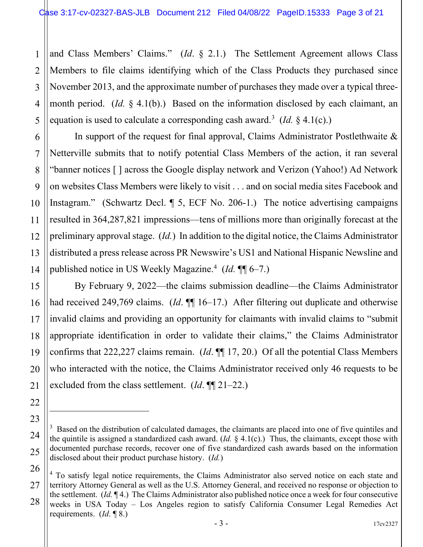1 2 and Class Members' Claims." (*Id*. § 2.1.) The Settlement Agreement allows Class Members to file claims identifying which of the Class Products they purchased since November 2013, and the approximate number of purchases they made over a typical threemonth period. (*Id.* § 4.1(b).) Based on the information disclosed by each claimant, an equation is used to calculate a corresponding cash award. [3](#page-2-0) (*Id.* § 4.1(c).)

In support of the request for final approval, Claims Administrator Postlethwaite  $\&$ Netterville submits that to notify potential Class Members of the action, it ran several "banner notices [ ] across the Google display network and Verizon (Yahoo!) Ad Network on websites Class Members were likely to visit . . . and on social media sites Facebook and Instagram." (Schwartz Decl. ¶ 5, ECF No. 206-1.) The notice advertising campaigns resulted in 364,287,821 impressions—tens of millions more than originally forecast at the preliminary approval stage. (*Id.*) In addition to the digital notice, the Claims Administrator distributed a press release across PR Newswire's US1 and National Hispanic Newsline and published notice in US Weekly Magazine. [4](#page-2-1) (*Id.* ¶¶ 6–7.)

By February 9, 2022—the claims submission deadline—the Claims Administrator had received 249,769 claims. (*Id*. ¶ 16–17.) After filtering out duplicate and otherwise invalid claims and providing an opportunity for claimants with invalid claims to "submit appropriate identification in order to validate their claims," the Claims Administrator confirms that 222,227 claims remain. (*Id*. ¶¶ 17, 20.) Of all the potential Class Members who interacted with the notice, the Claims Administrator received only 46 requests to be excluded from the class settlement. (*Id*. ¶¶ 21–22.)

<span id="page-2-0"></span><sup>&</sup>lt;sup>3</sup> Based on the distribution of calculated damages, the claimants are placed into one of five quintiles and the quintile is assigned a standardized cash award. (*Id.* § 4.1(c).) Thus, the claimants, except those with documented purchase records, recover one of five standardized cash awards based on the information disclosed about their product purchase history. (*Id.*)

<span id="page-2-1"></span><sup>&</sup>lt;sup>4</sup> To satisfy legal notice requirements, the Claims Administrator also served notice on each state and territory Attorney General as well as the U.S. Attorney General, and received no response or objection to the settlement. (*Id.* ¶ 4.) The Claims Administrator also published notice once a week for four consecutive weeks in USA Today – Los Angeles region to satisfy California Consumer Legal Remedies Act requirements. (*Id*. ¶ 8.)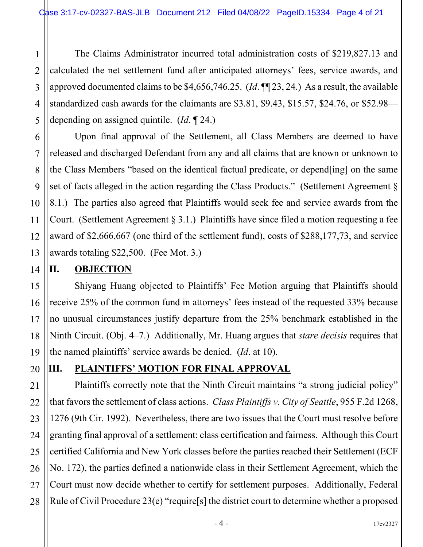The Claims Administrator incurred total administration costs of \$219,827.13 and calculated the net settlement fund after anticipated attorneys' fees, service awards, and approved documented claims to be \$4,656,746.25. (*Id*. ¶¶ 23, 24.) As a result, the available standardized cash awards for the claimants are \$3.81, \$9.43, \$15.57, \$24.76, or \$52.98 depending on assigned quintile. (*Id*. ¶ 24.)

Upon final approval of the Settlement, all Class Members are deemed to have released and discharged Defendant from any and all claims that are known or unknown to the Class Members "based on the identical factual predicate, or depend[ing] on the same set of facts alleged in the action regarding the Class Products." (Settlement Agreement § 8.1.) The parties also agreed that Plaintiffs would seek fee and service awards from the Court. (Settlement Agreement § 3.1.) Plaintiffs have since filed a motion requesting a fee award of \$2,666,667 (one third of the settlement fund), costs of \$288,177,73, and service awards totaling \$22,500. (Fee Mot. 3.)

#### **II. OBJECTION**

Shiyang Huang objected to Plaintiffs' Fee Motion arguing that Plaintiffs should receive 25% of the common fund in attorneys' fees instead of the requested 33% because no unusual circumstances justify departure from the 25% benchmark established in the Ninth Circuit. (Obj. 4–7.) Additionally, Mr. Huang argues that *stare decisis* requires that the named plaintiffs' service awards be denied. (*Id*. at 10).

# **III. PLAINTIFFS' MOTION FOR FINAL APPROVAL**

Plaintiffs correctly note that the Ninth Circuit maintains "a strong judicial policy" that favors the settlement of class actions. *Class Plaintiffs v. City of Seattle*, 955 F.2d 1268, 1276 (9th Cir. 1992). Nevertheless, there are two issues that the Court must resolve before granting final approval of a settlement: class certification and fairness. Although this Court certified California and New York classes before the parties reached their Settlement (ECF No. 172), the parties defined a nationwide class in their Settlement Agreement, which the Court must now decide whether to certify for settlement purposes. Additionally, Federal Rule of Civil Procedure 23(e) "require<sup>[s]</sup> the district court to determine whether a proposed

 $-4 -$ 

1

2

3

4

5

6

7

8

9

10

11

12

13

14

15

16

17

18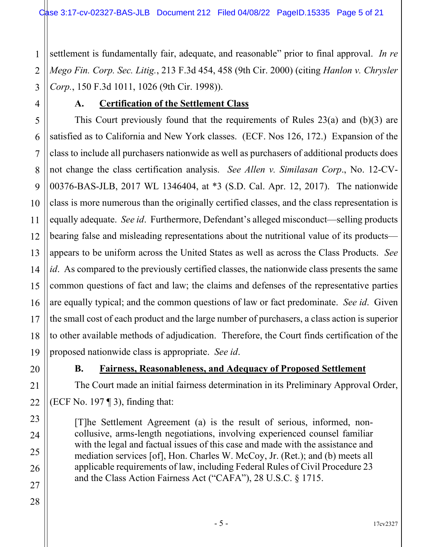1 2 3 settlement is fundamentally fair, adequate, and reasonable" prior to final approval. *In re Mego Fin. Corp. Sec. Litig.*, 213 F.3d 454, 458 (9th Cir. 2000) (citing *Hanlon v. Chrysler Corp.*, 150 F.3d 1011, 1026 (9th Cir. 1998)).

## **A. Certification of the Settlement Class**

5 6 7 8 9 10 11 12 13 14 15 16 17 18 19 This Court previously found that the requirements of Rules 23(a) and (b)(3) are satisfied as to California and New York classes. (ECF. Nos 126, 172.) Expansion of the class to include all purchasers nationwide as well as purchasers of additional products does not change the class certification analysis. *See Allen v. Similasan Corp*., No. 12-CV-00376-BAS-JLB, 2017 WL 1346404, at \*3 (S.D. Cal. Apr. 12, 2017). The nationwide class is more numerous than the originally certified classes, and the class representation is equally adequate. *See id*. Furthermore, Defendant's alleged misconduct—selling products bearing false and misleading representations about the nutritional value of its products appears to be uniform across the United States as well as across the Class Products. *See id*. As compared to the previously certified classes, the nationwide class presents the same common questions of fact and law; the claims and defenses of the representative parties are equally typical; and the common questions of law or fact predominate. *See id*. Given the small cost of each product and the large number of purchasers, a class action is superior to other available methods of adjudication. Therefore, the Court finds certification of the proposed nationwide class is appropriate. *See id*.

20

21

4

### **B. Fairness, Reasonableness, and Adequacy of Proposed Settlement**

The Court made an initial fairness determination in its Preliminary Approval Order, (ECF No. 197  $\P$  3), finding that:

[T]he Settlement Agreement (a) is the result of serious, informed, noncollusive, arms-length negotiations, involving experienced counsel familiar with the legal and factual issues of this case and made with the assistance and mediation services [of], Hon. Charles W. McCoy, Jr. (Ret.); and (b) meets all applicable requirements of law, including Federal Rules of Civil Procedure 23 and the Class Action Fairness Act ("CAFA"), 28 U.S.C. § 1715.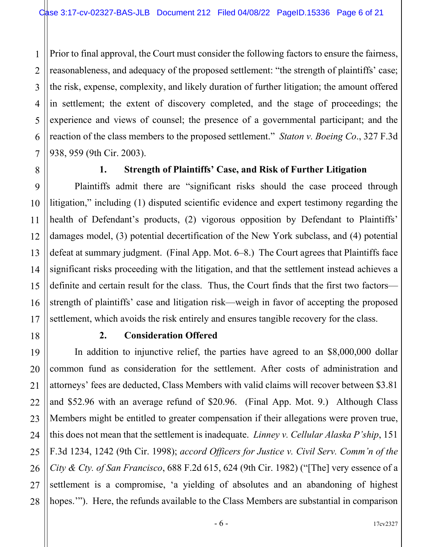1 2 3 4 5 6 7 Prior to final approval, the Court must consider the following factors to ensure the fairness, reasonableness, and adequacy of the proposed settlement: "the strength of plaintiffs' case; the risk, expense, complexity, and likely duration of further litigation; the amount offered in settlement; the extent of discovery completed, and the stage of proceedings; the experience and views of counsel; the presence of a governmental participant; and the reaction of the class members to the proposed settlement." *Staton v. Boeing Co*., 327 F.3d 938, 959 (9th Cir. 2003).

8

9

10

11

12

13

14

15

16

17

18

19

20

21

22

23

24

25

26

27

28

# **1. Strength of Plaintiffs' Case, and Risk of Further Litigation**

Plaintiffs admit there are "significant risks should the case proceed through litigation," including (1) disputed scientific evidence and expert testimony regarding the health of Defendant's products, (2) vigorous opposition by Defendant to Plaintiffs' damages model, (3) potential decertification of the New York subclass, and (4) potential defeat at summary judgment. (Final App. Mot. 6–8.) The Court agrees that Plaintiffs face significant risks proceeding with the litigation, and that the settlement instead achieves a definite and certain result for the class. Thus, the Court finds that the first two factors strength of plaintiffs' case and litigation risk—weigh in favor of accepting the proposed settlement, which avoids the risk entirely and ensures tangible recovery for the class.

#### **2. Consideration Offered**

In addition to injunctive relief, the parties have agreed to an \$8,000,000 dollar common fund as consideration for the settlement. After costs of administration and attorneys' fees are deducted, Class Members with valid claims will recover between \$3.81 and \$52.96 with an average refund of \$20.96. (Final App. Mot. 9.) Although Class Members might be entitled to greater compensation if their allegations were proven true, this does not mean that the settlement is inadequate. *Linney v. Cellular Alaska P'ship*, 151 F.3d 1234, 1242 (9th Cir. 1998); *accord Officers for Justice v. Civil Serv. Comm'n of the City & Cty. of San Francisco*, 688 F.2d 615, 624 (9th Cir. 1982) ("[The] very essence of a settlement is a compromise, 'a yielding of absolutes and an abandoning of highest hopes.""). Here, the refunds available to the Class Members are substantial in comparison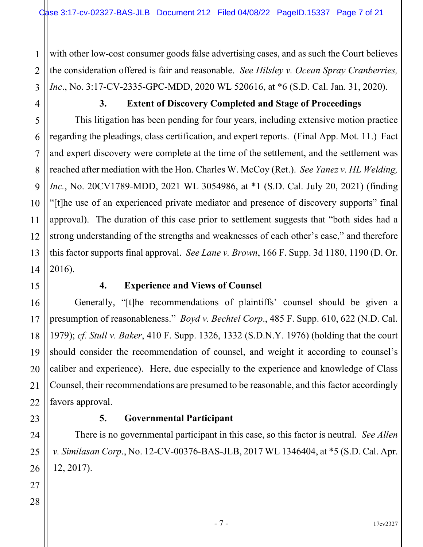1 2 with other low-cost consumer goods false advertising cases, and as such the Court believes the consideration offered is fair and reasonable. *See Hilsley v. Ocean Spray Cranberries, Inc*., No. 3:17-CV-2335-GPC-MDD, 2020 WL 520616, at \*6 (S.D. Cal. Jan. 31, 2020).

#### **3. Extent of Discovery Completed and Stage of Proceedings**

This litigation has been pending for four years, including extensive motion practice regarding the pleadings, class certification, and expert reports. (Final App. Mot. 11.) Fact and expert discovery were complete at the time of the settlement, and the settlement was reached after mediation with the Hon. Charles W. McCoy (Ret.). *See Yanez v. HL Welding, Inc.*, No. 20CV1789-MDD, 2021 WL 3054986, at \*1 (S.D. Cal. July 20, 2021) (finding "[t]he use of an experienced private mediator and presence of discovery supports" final approval). The duration of this case prior to settlement suggests that "both sides had a strong understanding of the strengths and weaknesses of each other's case," and therefore this factor supports final approval. *See Lane v. Brown*, 166 F. Supp. 3d 1180, 1190 (D. Or. 2016).

#### **4. Experience and Views of Counsel**

Generally, "[t]he recommendations of plaintiffs' counsel should be given a presumption of reasonableness." *Boyd v. Bechtel Corp*., 485 F. Supp. 610, 622 (N.D. Cal. 1979); *cf. Stull v. Baker*, 410 F. Supp. 1326, 1332 (S.D.N.Y. 1976) (holding that the court should consider the recommendation of counsel, and weight it according to counsel's caliber and experience). Here, due especially to the experience and knowledge of Class Counsel, their recommendations are presumed to be reasonable, and this factor accordingly favors approval.

#### **5. Governmental Participant**

There is no governmental participant in this case, so this factor is neutral. *See Allen v. Similasan Corp*., No. 12-CV-00376-BAS-JLB, 2017 WL 1346404, at \*5 (S.D. Cal. Apr. 12, 2017).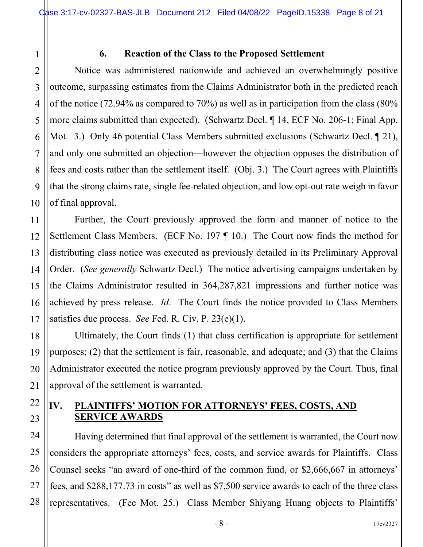# 2 3 4 5 6 7 8 9 10 11 12 13 14 15 16 17 18 19 20 21 22 23 24 25

27

1

#### **6. Reaction of the Class to the Proposed Settlement**

Notice was administered nationwide and achieved an overwhelmingly positive outcome, surpassing estimates from the Claims Administrator both in the predicted reach of the notice (72.94% as compared to 70%) as well as in participation from the class (80% more claims submitted than expected). (Schwartz Decl. ¶ 14, ECF No. 206-1; Final App. Mot. 3.) Only 46 potential Class Members submitted exclusions (Schwartz Decl. 1 21), and only one submitted an objection—however the objection opposes the distribution of fees and costs rather than the settlement itself. (Obj. 3.) The Court agrees with Plaintiffs that the strong claims rate, single fee-related objection, and low opt-out rate weigh in favor of final approval.

Further, the Court previously approved the form and manner of notice to the Settlement Class Members. (ECF No. 197 ¶ 10.) The Court now finds the method for distributing class notice was executed as previously detailed in its Preliminary Approval Order. (*See generally* Schwartz Decl.) The notice advertising campaigns undertaken by the Claims Administrator resulted in 364,287,821 impressions and further notice was achieved by press release. *Id*. The Court finds the notice provided to Class Members satisfies due process. *See* Fed. R. Civ. P. 23(e)(1).

Ultimately, the Court finds (1) that class certification is appropriate for settlement purposes; (2) that the settlement is fair, reasonable, and adequate; and (3) that the Claims Administrator executed the notice program previously approved by the Court. Thus, final approval of the settlement is warranted.

# **IV. PLAINTIFFS' MOTION FOR ATTORNEYS' FEES, COSTS, AND SERVICE AWARDS**

26 28 Having determined that final approval of the settlement is warranted, the Court now considers the appropriate attorneys' fees, costs, and service awards for Plaintiffs. Class Counsel seeks "an award of one-third of the common fund, or \$2,666,667 in attorneys' fees, and \$288,177.73 in costs" as well as \$7,500 service awards to each of the three class representatives. (Fee Mot. 25.) Class Member Shiyang Huang objects to Plaintiffs'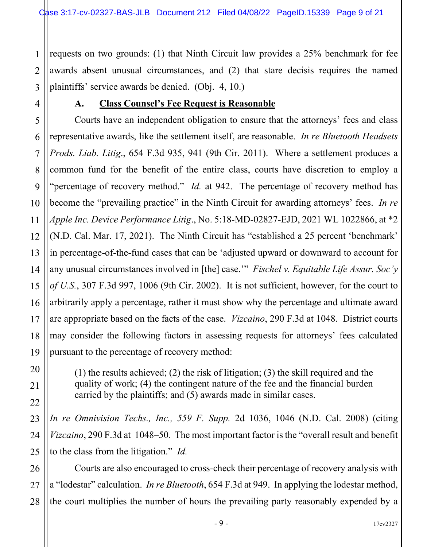1 2 3 requests on two grounds: (1) that Ninth Circuit law provides a 25% benchmark for fee awards absent unusual circumstances, and (2) that stare decisis requires the named plaintiffs' service awards be denied. (Obj. 4, 10.)

4

#### **A. Class Counsel's Fee Request is Reasonable**

Courts have an independent obligation to ensure that the attorneys' fees and class representative awards, like the settlement itself, are reasonable. *In re Bluetooth Headsets Prods. Liab. Litig*., 654 F.3d 935, 941 (9th Cir. 2011). Where a settlement produces a common fund for the benefit of the entire class, courts have discretion to employ a "percentage of recovery method." *Id.* at 942. The percentage of recovery method has become the "prevailing practice" in the Ninth Circuit for awarding attorneys' fees. *In re Apple Inc. Device Performance Litig*., No. 5:18-MD-02827-EJD, 2021 WL 1022866, at \*2 (N.D. Cal. Mar. 17, 2021). The Ninth Circuit has "established a 25 percent 'benchmark' in percentage-of-the-fund cases that can be 'adjusted upward or downward to account for any unusual circumstances involved in [the] case.'" *Fischel v. Equitable Life Assur. Soc'y of U.S.*, 307 F.3d 997, 1006 (9th Cir. 2002). It is not sufficient, however, for the court to arbitrarily apply a percentage, rather it must show why the percentage and ultimate award are appropriate based on the facts of the case. *Vizcaino*, 290 F.3d at 1048. District courts may consider the following factors in assessing requests for attorneys' fees calculated pursuant to the percentage of recovery method:

(1) the results achieved; (2) the risk of litigation; (3) the skill required and the quality of work; (4) the contingent nature of the fee and the financial burden carried by the plaintiffs; and (5) awards made in similar cases.

*In re Omnivision Techs., Inc., 559 F. Supp.* 2d 1036, 1046 (N.D. Cal. 2008) (citing *Vizcaino*, 290 F.3d at 1048–50. The most important factor is the "overall result and benefit to the class from the litigation." *Id.* 

Courts are also encouraged to cross-check their percentage of recovery analysis with a "lodestar" calculation. *In re Bluetooth*, 654 F.3d at 949. In applying the lodestar method, the court multiplies the number of hours the prevailing party reasonably expended by a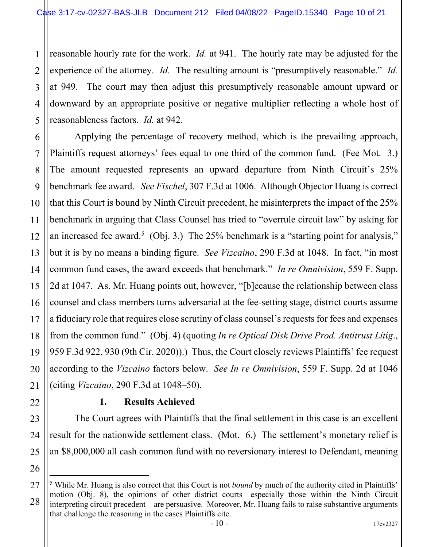reasonable hourly rate for the work. *Id.* at 941. The hourly rate may be adjusted for the experience of the attorney. *Id.* The resulting amount is "presumptively reasonable." *Id.* at 949. The court may then adjust this presumptively reasonable amount upward or downward by an appropriate positive or negative multiplier reflecting a whole host of reasonableness factors. *Id.* at 942.

Applying the percentage of recovery method, which is the prevailing approach, Plaintiffs request attorneys' fees equal to one third of the common fund. (Fee Mot. 3.) The amount requested represents an upward departure from Ninth Circuit's 25% benchmark fee award. *See Fischel*, 307 F.3d at 1006. Although Objector Huang is correct that this Court is bound by Ninth Circuit precedent, he misinterprets the impact of the 25% benchmark in arguing that Class Counsel has tried to "overrule circuit law" by asking for an increased fee award.<sup>[5](#page-9-0)</sup> (Obj. 3.) The 25% benchmark is a "starting point for analysis," but it is by no means a binding figure. *See Vizcaino*, 290 F.3d at 1048. In fact, "in most common fund cases, the award exceeds that benchmark." *In re Omnivision*, 559 F. Supp. 2d at 1047. As. Mr. Huang points out, however, "[b]ecause the relationship between class counsel and class members turns adversarial at the fee-setting stage, district courts assume a fiduciary role that requires close scrutiny of class counsel's requests for fees and expenses from the common fund." (Obj. 4) (quoting *In re Optical Disk Drive Prod. Antitrust Litig*., 959 F.3d 922, 930 (9th Cir. 2020)).) Thus, the Court closely reviews Plaintiffs' fee request according to the *Vizcaino* factors below. *See In re Omnivision*, 559 F. Supp. 2d at 1046 (citing *Vizcaino*, 290 F.3d at 1048–50).

#### **1. Results Achieved**

The Court agrees with Plaintiffs that the final settlement in this case is an excellent result for the nationwide settlement class. (Mot. 6.) The settlement's monetary relief is an \$8,000,000 all cash common fund with no reversionary interest to Defendant, meaning

<span id="page-9-0"></span><sup>&</sup>lt;sup>5</sup> While Mr. Huang is also correct that this Court is not *bound* by much of the authority cited in Plaintiffs' motion (Obj. 8), the opinions of other district courts—especially those within the Ninth Circuit interpreting circuit precedent—are persuasive. Moreover, Mr. Huang fails to raise substantive arguments that challenge the reasoning in the cases Plaintiffs cite.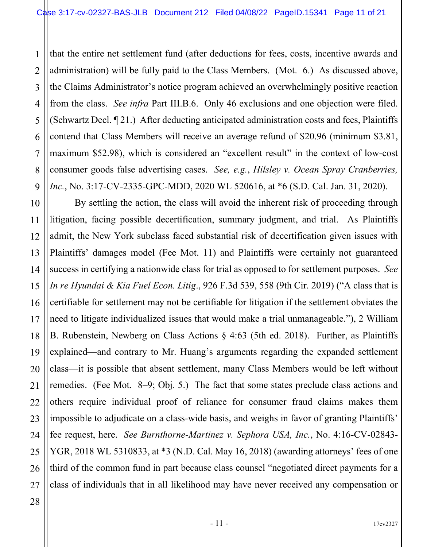1 2 3 4 5 6 7 8 9 that the entire net settlement fund (after deductions for fees, costs, incentive awards and administration) will be fully paid to the Class Members. (Mot. 6.) As discussed above, the Claims Administrator's notice program achieved an overwhelmingly positive reaction from the class. *See infra* Part III.B.6. Only 46 exclusions and one objection were filed. (Schwartz Decl. ¶ 21.) After deducting anticipated administration costs and fees, Plaintiffs contend that Class Members will receive an average refund of \$20.96 (minimum \$3.81, maximum \$52.98), which is considered an "excellent result" in the context of low-cost consumer goods false advertising cases. *See, e.g.*, *Hilsley v. Ocean Spray Cranberries, Inc.*, No. 3:17-CV-2335-GPC-MDD, 2020 WL 520616, at \*6 (S.D. Cal. Jan. 31, 2020).

10 11 12 13 14 15 By settling the action, the class will avoid the inherent risk of proceeding through litigation, facing possible decertification, summary judgment, and trial. As Plaintiffs admit, the New York subclass faced substantial risk of decertification given issues with Plaintiffs' damages model (Fee Mot. 11) and Plaintiffs were certainly not guaranteed success in certifying a nationwide class for trial as opposed to for settlement purposes. *See In re Hyundai & Kia Fuel Econ. Litig*., 926 F.3d 539, 558 (9th Cir. 2019) ("A class that is certifiable for settlement may not be certifiable for litigation if the settlement obviates the need to litigate individualized issues that would make a trial unmanageable."), 2 William B. Rubenstein, Newberg on Class Actions § 4:63 (5th ed. 2018). Further, as Plaintiffs explained—and contrary to Mr. Huang's arguments regarding the expanded settlement class—it is possible that absent settlement, many Class Members would be left without remedies. (Fee Mot. 8–9; Obj. 5.) The fact that some states preclude class actions and others require individual proof of reliance for consumer fraud claims makes them impossible to adjudicate on a class-wide basis, and weighs in favor of granting Plaintiffs' fee request, here. *See Burnthorne-Martinez v. Sephora USA, Inc.*, No. 4:16-CV-02843- YGR, 2018 WL 5310833, at \*3 (N.D. Cal. May 16, 2018) (awarding attorneys' fees of one third of the common fund in part because class counsel "negotiated direct payments for a class of individuals that in all likelihood may have never received any compensation or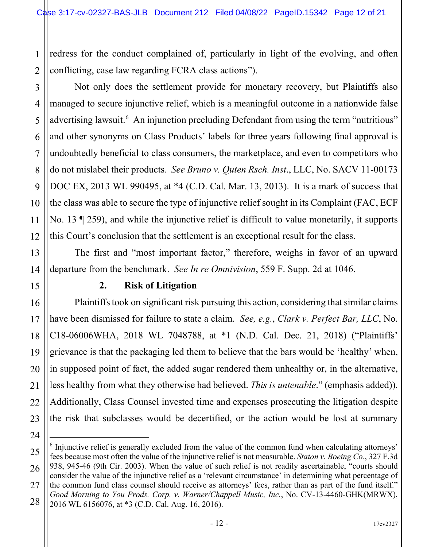1 2 redress for the conduct complained of, particularly in light of the evolving, and often conflicting, case law regarding FCRA class actions").

Not only does the settlement provide for monetary recovery, but Plaintiffs also managed to secure injunctive relief, which is a meaningful outcome in a nationwide false advertising lawsuit.<sup>[6](#page-11-0)</sup> An injunction precluding Defendant from using the term "nutritious" and other synonyms on Class Products' labels for three years following final approval is undoubtedly beneficial to class consumers, the marketplace, and even to competitors who do not mislabel their products. *See Bruno v. Quten Rsch. Inst*., LLC, No. SACV 11-00173 DOC EX, 2013 WL 990495, at \*4 (C.D. Cal. Mar. 13, 2013). It is a mark of success that the class was able to secure the type of injunctive relief sought in its Complaint (FAC, ECF

No. 13 ¶ 259), and while the injunctive relief is difficult to value monetarily, it supports this Court's conclusion that the settlement is an exceptional result for the class.

The first and "most important factor," therefore, weighs in favor of an upward departure from the benchmark. *See In re Omnivision*, 559 F. Supp. 2d at 1046.

# **2. Risk of Litigation**

Plaintiffs took on significant risk pursuing this action, considering that similar claims have been dismissed for failure to state a claim. *See, e.g.*, *Clark v. Perfect Bar, LLC*, No. C18-06006WHA, 2018 WL 7048788, at \*1 (N.D. Cal. Dec. 21, 2018) ("Plaintiffs' grievance is that the packaging led them to believe that the bars would be 'healthy' when, in supposed point of fact, the added sugar rendered them unhealthy or, in the alternative, less healthy from what they otherwise had believed. *This is untenable*." (emphasis added)). Additionally, Class Counsel invested time and expenses prosecuting the litigation despite the risk that subclasses would be decertified, or the action would be lost at summary

<span id="page-11-0"></span> $6$  Injunctive relief is generally excluded from the value of the common fund when calculating attorneys' fees because most often the value of the injunctive relief is not measurable. *Staton v. Boeing Co*., 327 F.3d 938, 945-46 (9th Cir. 2003). When the value of such relief is not readily ascertainable, "courts should consider the value of the injunctive relief as a 'relevant circumstance' in determining what percentage of the common fund class counsel should receive as attorneys' fees, rather than as part of the fund itself." *Good Morning to You Prods. Corp. v. Warner/Chappell Music, Inc.*, No. CV-13-4460-GHK(MRWX), 2016 WL 6156076, at \*3 (C.D. Cal. Aug. 16, 2016).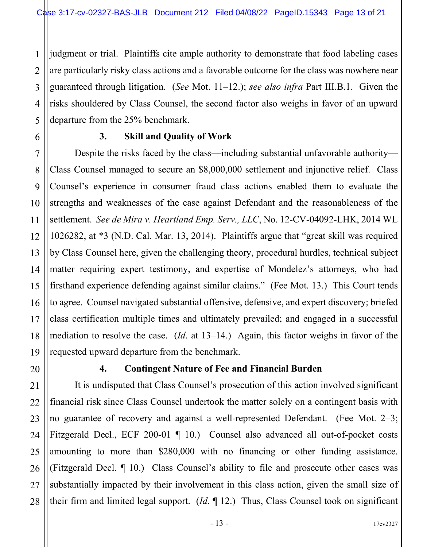1 2 3 4 5 judgment or trial. Plaintiffs cite ample authority to demonstrate that food labeling cases are particularly risky class actions and a favorable outcome for the class was nowhere near guaranteed through litigation. (*See* Mot. 11–12.); *see also infra* Part III.B.1. Given the risks shouldered by Class Counsel, the second factor also weighs in favor of an upward departure from the 25% benchmark.

6

7

8

9

10

11

12

13

14

15

16

17

18

19

20

21

22

23

24

25

26

27

28

# **3. Skill and Quality of Work**

Despite the risks faced by the class—including substantial unfavorable authority— Class Counsel managed to secure an \$8,000,000 settlement and injunctive relief. Class Counsel's experience in consumer fraud class actions enabled them to evaluate the strengths and weaknesses of the case against Defendant and the reasonableness of the settlement. *See de Mira v. Heartland Emp. Serv., LLC*, No. 12-CV-04092-LHK, 2014 WL 1026282, at \*3 (N.D. Cal. Mar. 13, 2014). Plaintiffs argue that "great skill was required by Class Counsel here, given the challenging theory, procedural hurdles, technical subject matter requiring expert testimony, and expertise of Mondelez's attorneys, who had firsthand experience defending against similar claims." (Fee Mot. 13.) This Court tends to agree. Counsel navigated substantial offensive, defensive, and expert discovery; briefed class certification multiple times and ultimately prevailed; and engaged in a successful mediation to resolve the case. (*Id*. at 13–14.) Again, this factor weighs in favor of the requested upward departure from the benchmark.

# **4. Contingent Nature of Fee and Financial Burden**

It is undisputed that Class Counsel's prosecution of this action involved significant financial risk since Class Counsel undertook the matter solely on a contingent basis with no guarantee of recovery and against a well-represented Defendant. (Fee Mot. 2–3; Fitzgerald Decl., ECF 200-01 ¶ 10.) Counsel also advanced all out-of-pocket costs amounting to more than \$280,000 with no financing or other funding assistance. (Fitzgerald Decl. ¶ 10.) Class Counsel's ability to file and prosecute other cases was substantially impacted by their involvement in this class action, given the small size of their firm and limited legal support. (*Id*. ¶ 12.) Thus, Class Counsel took on significant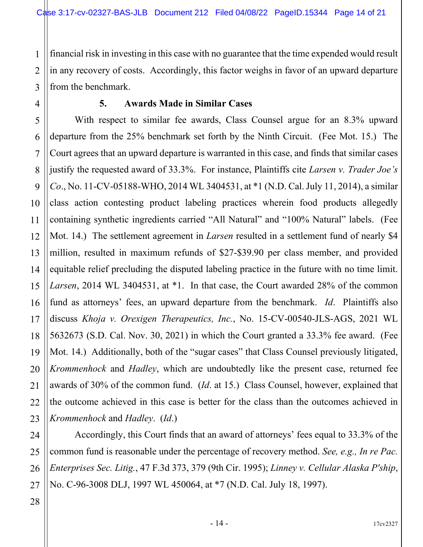1 2 3 financial risk in investing in this case with no guarantee that the time expended would result in any recovery of costs. Accordingly, this factor weighs in favor of an upward departure from the benchmark.

4

5

7

11

17

21

24

25

26

27

#### **5. Awards Made in Similar Cases**

6 8 9 10 12 13 14 15 16 18 19 20 22 23 With respect to similar fee awards, Class Counsel argue for an 8.3% upward departure from the 25% benchmark set forth by the Ninth Circuit. (Fee Mot. 15.) The Court agrees that an upward departure is warranted in this case, and finds that similar cases justify the requested award of 33.3%. For instance, Plaintiffs cite *Larsen v. Trader Joe's Co*., No. 11-CV-05188-WHO, 2014 WL 3404531, at \*1 (N.D. Cal. July 11, 2014), a similar class action contesting product labeling practices wherein food products allegedly containing synthetic ingredients carried "All Natural" and "100% Natural" labels. (Fee Mot. 14.) The settlement agreement in *Larsen* resulted in a settlement fund of nearly \$4 million, resulted in maximum refunds of \$27-\$39.90 per class member, and provided equitable relief precluding the disputed labeling practice in the future with no time limit. *Larsen*, 2014 WL 3404531, at \*1. In that case, the Court awarded 28% of the common fund as attorneys' fees, an upward departure from the benchmark. *Id*. Plaintiffs also discuss *Khoja v. Orexigen Therapeutics, Inc.*, No. 15-CV-00540-JLS-AGS, 2021 WL 5632673 (S.D. Cal. Nov. 30, 2021) in which the Court granted a 33.3% fee award. (Fee Mot. 14.) Additionally, both of the "sugar cases" that Class Counsel previously litigated, *Krommenhock* and *Hadley*, which are undoubtedly like the present case, returned fee awards of 30% of the common fund. (*Id*. at 15.) Class Counsel, however, explained that the outcome achieved in this case is better for the class than the outcomes achieved in *Krommenhock* and *Hadley*. (*Id*.)

Accordingly, this Court finds that an award of attorneys' fees equal to 33.3% of the common fund is reasonable under the percentage of recovery method. *See, e.g., In re Pac. Enterprises Sec. Litig.*, 47 F.3d 373, 379 (9th Cir. 1995); *Linney v. Cellular Alaska P'ship*, No. C-96-3008 DLJ, 1997 WL 450064, at \*7 (N.D. Cal. July 18, 1997).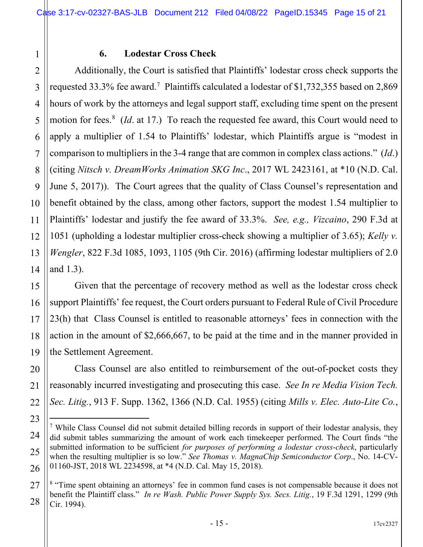#### **6. Lodestar Cross Check**

Additionally, the Court is satisfied that Plaintiffs' lodestar cross check supports the requested 33.3% fee award.[7](#page-14-0) Plaintiffs calculated a lodestar of \$1,732,355 based on 2,869 hours of work by the attorneys and legal support staff, excluding time spent on the present motion for fees.<sup>[8](#page-14-1)</sup> (*Id*. at 17.) To reach the requested fee award, this Court would need to apply a multiplier of 1.54 to Plaintiffs' lodestar, which Plaintiffs argue is "modest in comparison to multipliers in the 3-4 range that are common in complex class actions." (*Id*.) (citing *Nitsch v. DreamWorks Animation SKG Inc*., 2017 WL 2423161, at \*10 (N.D. Cal. June 5, 2017)). The Court agrees that the quality of Class Counsel's representation and benefit obtained by the class, among other factors, support the modest 1.54 multiplier to Plaintiffs' lodestar and justify the fee award of 33.3%. *See, e.g., Vizcaino*, 290 F.3d at 1051 (upholding a lodestar multiplier cross-check showing a multiplier of 3.65); *Kelly v. Wengler*, 822 F.3d 1085, 1093, 1105 (9th Cir. 2016) (affirming lodestar multipliers of 2.0 and 1.3).

Given that the percentage of recovery method as well as the lodestar cross check support Plaintiffs' fee request, the Court orders pursuant to Federal Rule of Civil Procedure 23(h) that Class Counsel is entitled to reasonable attorneys' fees in connection with the action in the amount of \$2,666,667, to be paid at the time and in the manner provided in the Settlement Agreement.

Class Counsel are also entitled to reimbursement of the out-of-pocket costs they reasonably incurred investigating and prosecuting this case. *See In re Media Vision Tech. Sec. Litig.*, 913 F. Supp. 1362, 1366 (N.D. Cal. 1955) (citing *Mills v. Elec. Auto-Lite Co.*,

1

2

3

4

<span id="page-14-0"></span><sup>&</sup>lt;sup>7</sup> While Class Counsel did not submit detailed billing records in support of their lodestar analysis, they did submit tables summarizing the amount of work each timekeeper performed. The Court finds "the submitted information to be sufficient *for purposes of performing a lodestar cross-check*, particularly when the resulting multiplier is so low." *See Thomas v. MagnaChip Semiconductor Corp*., No. 14-CV-01160-JST, 2018 WL 2234598, at \*4 (N.D. Cal. May 15, 2018).

<span id="page-14-1"></span><sup>&</sup>lt;sup>8</sup> "Time spent obtaining an attorneys' fee in common fund cases is not compensable because it does not benefit the Plaintiff class." *In re Wash. Public Power Supply Sys. Secs. Litig.*, 19 F.3d 1291, 1299 (9th Cir. 1994).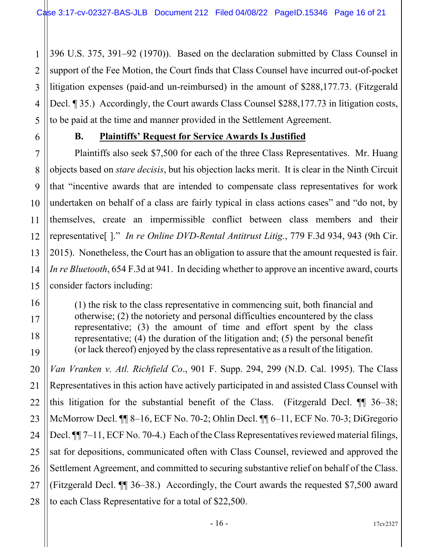1 2 3 4 5 396 U.S. 375, 391–92 (1970)). Based on the declaration submitted by Class Counsel in support of the Fee Motion, the Court finds that Class Counsel have incurred out-of-pocket litigation expenses (paid-and un-reimbursed) in the amount of \$288,177.73. (Fitzgerald Decl. 1 35.) Accordingly, the Court awards Class Counsel \$288,177.73 in litigation costs, to be paid at the time and manner provided in the Settlement Agreement.

6

7

8

9

10

11

12

13

14

15

16

17

18

19

20

21

23

25

27

### **B. Plaintiffs' Request for Service Awards Is Justified**

Plaintiffs also seek \$7,500 for each of the three Class Representatives. Mr. Huang objects based on *stare decisis*, but his objection lacks merit. It is clear in the Ninth Circuit that "incentive awards that are intended to compensate class representatives for work undertaken on behalf of a class are fairly typical in class actions cases" and "do not, by themselves, create an impermissible conflict between class members and their representative[ ]." *In re Online DVD-Rental Antitrust Litig.*, 779 F.3d 934, 943 (9th Cir. 2015). Nonetheless, the Court has an obligation to assure that the amount requested is fair. *In re Bluetooth*, 654 F.3d at 941. In deciding whether to approve an incentive award, courts consider factors including:

(1) the risk to the class representative in commencing suit, both financial and otherwise; (2) the notoriety and personal difficulties encountered by the class representative; (3) the amount of time and effort spent by the class representative; (4) the duration of the litigation and; (5) the personal benefit (or lack thereof) enjoyed by the class representative as a result of the litigation.

22 24 26 28 *Van Vranken v. Atl. Richfield Co*., 901 F. Supp. 294, 299 (N.D. Cal. 1995). The Class Representatives in this action have actively participated in and assisted Class Counsel with this litigation for the substantial benefit of the Class. (Fitzgerald Decl. ¶¶ 36–38; McMorrow Decl. ¶¶ 8–16, ECF No. 70-2; Ohlin Decl. ¶¶ 6–11, ECF No. 70-3; DiGregorio Decl.  $\P$  7–11, ECF No. 70-4.) Each of the Class Representatives reviewed material filings, sat for depositions, communicated often with Class Counsel, reviewed and approved the Settlement Agreement, and committed to securing substantive relief on behalf of the Class. (Fitzgerald Decl. ¶¶ 36–38.) Accordingly, the Court awards the requested \$7,500 award to each Class Representative for a total of \$22,500.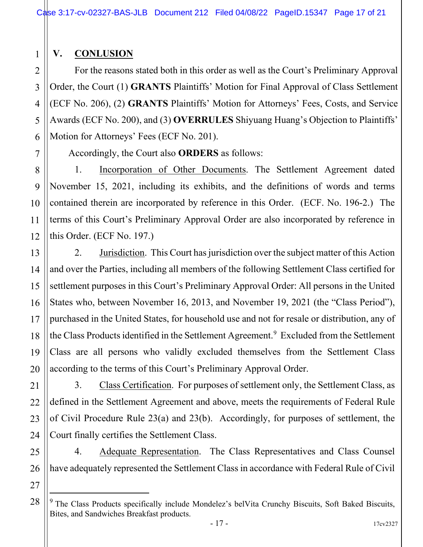# **V. CONLUSION**

1

2

3

4

5

6

7

8

9

10

11

12

13

14

15

16

17

18

19

20

21

22

23

24

For the reasons stated both in this order as well as the Court's Preliminary Approval Order, the Court (1) **GRANTS** Plaintiffs' Motion for Final Approval of Class Settlement (ECF No. 206), (2) **GRANTS** Plaintiffs' Motion for Attorneys' Fees, Costs, and Service Awards (ECF No. 200), and (3) **OVERRULES** Shiyuang Huang's Objection to Plaintiffs' Motion for Attorneys' Fees (ECF No. 201).

Accordingly, the Court also **ORDERS** as follows:

1. Incorporation of Other Documents. The Settlement Agreement dated November 15, 2021, including its exhibits, and the definitions of words and terms contained therein are incorporated by reference in this Order. (ECF. No. 196-2.) The terms of this Court's Preliminary Approval Order are also incorporated by reference in this Order. (ECF No. 197.)

2. Jurisdiction. This Court has jurisdiction over the subject matter of this Action and over the Parties, including all members of the following Settlement Class certified for settlement purposes in this Court's Preliminary Approval Order: All persons in the United States who, between November 16, 2013, and November 19, 2021 (the "Class Period"), purchased in the United States, for household use and not for resale or distribution, any of the Class Products identified in the Settlement Agreement.<sup>[9](#page-16-0)</sup> Excluded from the Settlement Class are all persons who validly excluded themselves from the Settlement Class according to the terms of this Court's Preliminary Approval Order.

3. Class Certification. For purposes of settlement only, the Settlement Class, as defined in the Settlement Agreement and above, meets the requirements of Federal Rule of Civil Procedure Rule 23(a) and 23(b). Accordingly, for purposes of settlement, the Court finally certifies the Settlement Class.

25 26 4. Adequate Representation. The Class Representatives and Class Counsel have adequately represented the Settlement Class in accordance with Federal Rule of Civil

<span id="page-16-0"></span><sup>&</sup>lt;sup>9</sup> The Class Products specifically include Mondelez's belVita Crunchy Biscuits, Soft Baked Biscuits, Bites, and Sandwiches Breakfast products.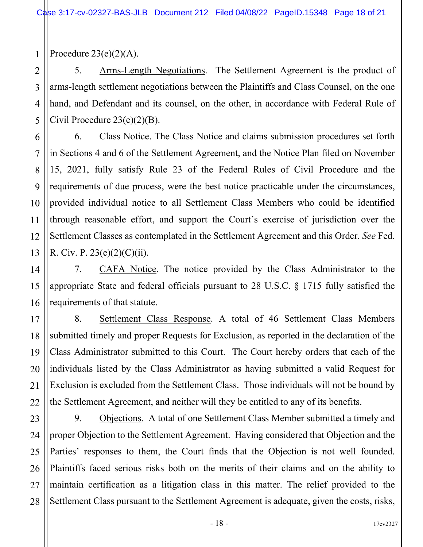1 Procedure  $23(e)(2)(A)$ .

2

3

4

5

6

7

8

9

10

11

12

13

14

15

16

21

5. Arms-Length Negotiations. The Settlement Agreement is the product of arms-length settlement negotiations between the Plaintiffs and Class Counsel, on the one hand, and Defendant and its counsel, on the other, in accordance with Federal Rule of Civil Procedure 23(e)(2)(B).

6. Class Notice. The Class Notice and claims submission procedures set forth in Sections 4 and 6 of the Settlement Agreement, and the Notice Plan filed on November 15, 2021, fully satisfy Rule 23 of the Federal Rules of Civil Procedure and the requirements of due process, were the best notice practicable under the circumstances, provided individual notice to all Settlement Class Members who could be identified through reasonable effort, and support the Court's exercise of jurisdiction over the Settlement Classes as contemplated in the Settlement Agreement and this Order. *See* Fed. R. Civ. P. 23(e)(2)(C)(ii).

7. CAFA Notice. The notice provided by the Class Administrator to the appropriate State and federal officials pursuant to 28 U.S.C. § 1715 fully satisfied the requirements of that statute.

17 18 19 20 22 8. Settlement Class Response. A total of 46 Settlement Class Members submitted timely and proper Requests for Exclusion, as reported in the declaration of the Class Administrator submitted to this Court. The Court hereby orders that each of the individuals listed by the Class Administrator as having submitted a valid Request for Exclusion is excluded from the Settlement Class. Those individuals will not be bound by the Settlement Agreement, and neither will they be entitled to any of its benefits.

23 24 25 26 27 28 9. Objections. A total of one Settlement Class Member submitted a timely and proper Objection to the Settlement Agreement. Having considered that Objection and the Parties' responses to them, the Court finds that the Objection is not well founded. Plaintiffs faced serious risks both on the merits of their claims and on the ability to maintain certification as a litigation class in this matter. The relief provided to the Settlement Class pursuant to the Settlement Agreement is adequate, given the costs, risks,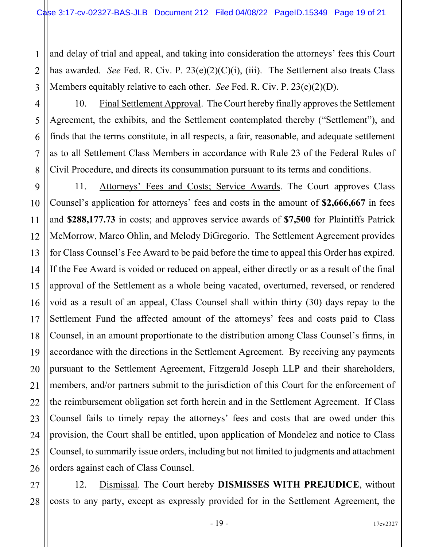1 2 3 and delay of trial and appeal, and taking into consideration the attorneys' fees this Court has awarded. *See* Fed. R. Civ. P. 23(e)(2)(C)(i), (iii). The Settlement also treats Class Members equitably relative to each other. *See* Fed. R. Civ. P. 23(e)(2)(D).

4 10. Final Settlement Approval. The Court hereby finally approves the Settlement Agreement, the exhibits, and the Settlement contemplated thereby ("Settlement"), and finds that the terms constitute, in all respects, a fair, reasonable, and adequate settlement as to all Settlement Class Members in accordance with Rule 23 of the Federal Rules of Civil Procedure, and directs its consummation pursuant to its terms and conditions.

5

6

7

8

11

21

9 10 12 13 14 15 16 17 18 19 20 22 23 24 25 26 11. Attorneys' Fees and Costs; Service Awards. The Court approves Class Counsel's application for attorneys' fees and costs in the amount of **\$2,666,667** in fees and **\$288,177.73** in costs; and approves service awards of **\$7,500** for Plaintiffs Patrick McMorrow, Marco Ohlin, and Melody DiGregorio. The Settlement Agreement provides for Class Counsel's Fee Award to be paid before the time to appeal this Order has expired. If the Fee Award is voided or reduced on appeal, either directly or as a result of the final approval of the Settlement as a whole being vacated, overturned, reversed, or rendered void as a result of an appeal, Class Counsel shall within thirty (30) days repay to the Settlement Fund the affected amount of the attorneys' fees and costs paid to Class Counsel, in an amount proportionate to the distribution among Class Counsel's firms, in accordance with the directions in the Settlement Agreement. By receiving any payments pursuant to the Settlement Agreement, Fitzgerald Joseph LLP and their shareholders, members, and/or partners submit to the jurisdiction of this Court for the enforcement of the reimbursement obligation set forth herein and in the Settlement Agreement. If Class Counsel fails to timely repay the attorneys' fees and costs that are owed under this provision, the Court shall be entitled, upon application of Mondelez and notice to Class Counsel, to summarily issue orders, including but not limited to judgments and attachment orders against each of Class Counsel.

27 28 12. Dismissal. The Court hereby **DISMISSES WITH PREJUDICE**, without costs to any party, except as expressly provided for in the Settlement Agreement, the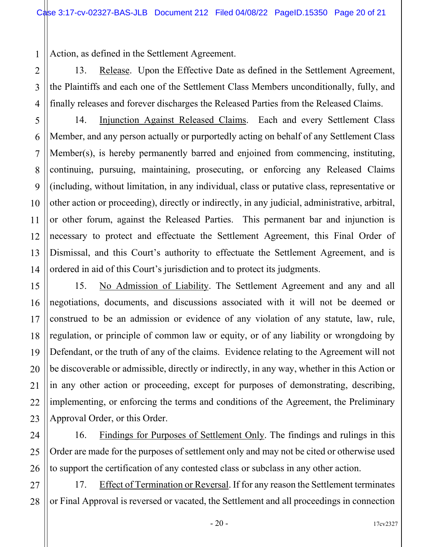1 Action, as defined in the Settlement Agreement.

13. Release. Upon the Effective Date as defined in the Settlement Agreement, the Plaintiffs and each one of the Settlement Class Members unconditionally, fully, and finally releases and forever discharges the Released Parties from the Released Claims.

14. Injunction Against Released Claims. Each and every Settlement Class Member, and any person actually or purportedly acting on behalf of any Settlement Class Member(s), is hereby permanently barred and enjoined from commencing, instituting, continuing, pursuing, maintaining, prosecuting, or enforcing any Released Claims (including, without limitation, in any individual, class or putative class, representative or other action or proceeding), directly or indirectly, in any judicial, administrative, arbitral, or other forum, against the Released Parties. This permanent bar and injunction is necessary to protect and effectuate the Settlement Agreement, this Final Order of Dismissal, and this Court's authority to effectuate the Settlement Agreement, and is ordered in aid of this Court's jurisdiction and to protect its judgments.

15. No Admission of Liability. The Settlement Agreement and any and all negotiations, documents, and discussions associated with it will not be deemed or construed to be an admission or evidence of any violation of any statute, law, rule, regulation, or principle of common law or equity, or of any liability or wrongdoing by Defendant, or the truth of any of the claims. Evidence relating to the Agreement will not be discoverable or admissible, directly or indirectly, in any way, whether in this Action or in any other action or proceeding, except for purposes of demonstrating, describing, implementing, or enforcing the terms and conditions of the Agreement, the Preliminary Approval Order, or this Order.

16. Findings for Purposes of Settlement Only. The findings and rulings in this Order are made for the purposes of settlement only and may not be cited or otherwise used to support the certification of any contested class or subclass in any other action.

17. Effect of Termination or Reversal. If for any reason the Settlement terminates or Final Approval is reversed or vacated, the Settlement and all proceedings in connection

2